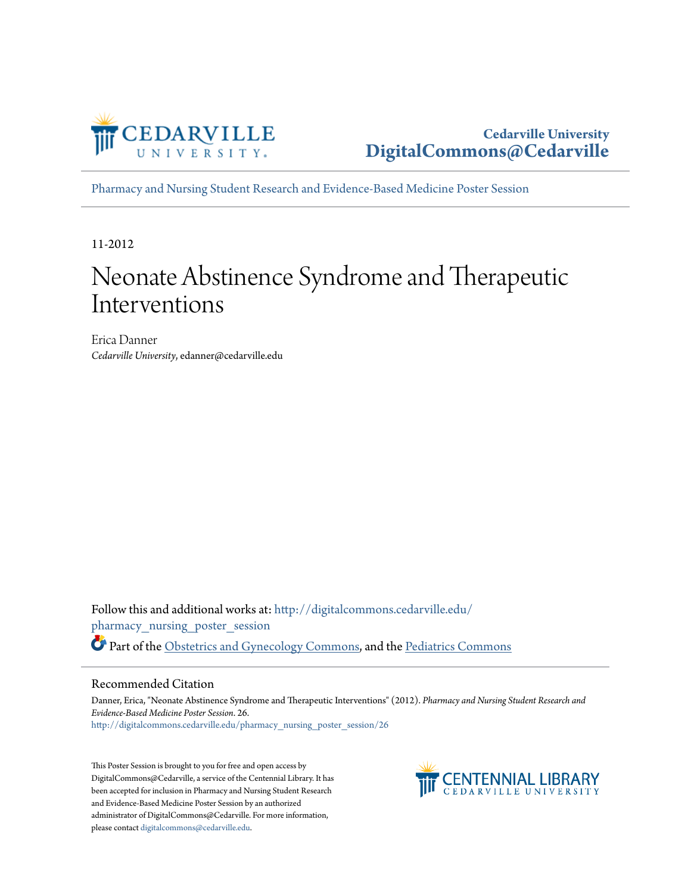

**Cedarville University [DigitalCommons@Cedarville](http://digitalcommons.cedarville.edu?utm_source=digitalcommons.cedarville.edu%2Fpharmacy_nursing_poster_session%2F26&utm_medium=PDF&utm_campaign=PDFCoverPages)**

[Pharmacy and Nursing Student Research and Evidence-Based Medicine Poster Session](http://digitalcommons.cedarville.edu/pharmacy_nursing_poster_session?utm_source=digitalcommons.cedarville.edu%2Fpharmacy_nursing_poster_session%2F26&utm_medium=PDF&utm_campaign=PDFCoverPages)

11-2012

#### Neonate Abstinence Syndrome and Therapeutic Interventions

Erica Danner *Cedarville University*, edanner@cedarville.edu

Follow this and additional works at: [http://digitalcommons.cedarville.edu/](http://digitalcommons.cedarville.edu/pharmacy_nursing_poster_session?utm_source=digitalcommons.cedarville.edu%2Fpharmacy_nursing_poster_session%2F26&utm_medium=PDF&utm_campaign=PDFCoverPages) [pharmacy\\_nursing\\_poster\\_session](http://digitalcommons.cedarville.edu/pharmacy_nursing_poster_session?utm_source=digitalcommons.cedarville.edu%2Fpharmacy_nursing_poster_session%2F26&utm_medium=PDF&utm_campaign=PDFCoverPages) Part of the [Obstetrics and Gynecology Commons,](http://network.bepress.com/hgg/discipline/693?utm_source=digitalcommons.cedarville.edu%2Fpharmacy_nursing_poster_session%2F26&utm_medium=PDF&utm_campaign=PDFCoverPages) and the [Pediatrics Commons](http://network.bepress.com/hgg/discipline/700?utm_source=digitalcommons.cedarville.edu%2Fpharmacy_nursing_poster_session%2F26&utm_medium=PDF&utm_campaign=PDFCoverPages)

#### Recommended Citation

Danner, Erica, "Neonate Abstinence Syndrome and Therapeutic Interventions" (2012). *Pharmacy and Nursing Student Research and Evidence-Based Medicine Poster Session*. 26. [http://digitalcommons.cedarville.edu/pharmacy\\_nursing\\_poster\\_session/26](http://digitalcommons.cedarville.edu/pharmacy_nursing_poster_session/26?utm_source=digitalcommons.cedarville.edu%2Fpharmacy_nursing_poster_session%2F26&utm_medium=PDF&utm_campaign=PDFCoverPages)

This Poster Session is brought to you for free and open access by DigitalCommons@Cedarville, a service of the Centennial Library. It has been accepted for inclusion in Pharmacy and Nursing Student Research and Evidence-Based Medicine Poster Session by an authorized administrator of DigitalCommons@Cedarville. For more information, please contact [digitalcommons@cedarville.edu.](mailto:digitalcommons@cedarville.edu)